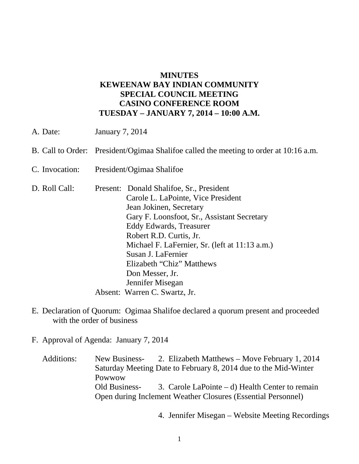## **MINUTES KEWEENAW BAY INDIAN COMMUNITY SPECIAL COUNCIL MEETING CASINO CONFERENCE ROOM TUESDAY – JANUARY 7, 2014 – 10:00 A.M.**

- A. Date: January 7, 2014 B. Call to Order: President/Ogimaa Shalifoe called the meeting to order at 10:16 a.m. C. Invocation: President/Ogimaa Shalifoe D. Roll Call: Present: Donald Shalifoe, Sr., President Carole L. LaPointe, Vice President Jean Jokinen, Secretary Gary F. Loonsfoot, Sr., Assistant Secretary Eddy Edwards, Treasurer Robert R.D. Curtis, Jr. Michael F. LaFernier, Sr. (left at 11:13 a.m.) Susan J. LaFernier Elizabeth "Chiz" Matthews Don Messer, Jr. Jennifer Misegan Absent: Warren C. Swartz, Jr.
- E. Declaration of Quorum: Ogimaa Shalifoe declared a quorum present and proceeded with the order of business
- F. Approval of Agenda: January 7, 2014

Additions: New Business- 2. Elizabeth Matthews – Move February 1, 2014 Saturday Meeting Date to February 8, 2014 due to the Mid-Winter Powwow Old Business- 3. Carole LaPointe – d) Health Center to remain Open during Inclement Weather Closures (Essential Personnel)

4. Jennifer Misegan – Website Meeting Recordings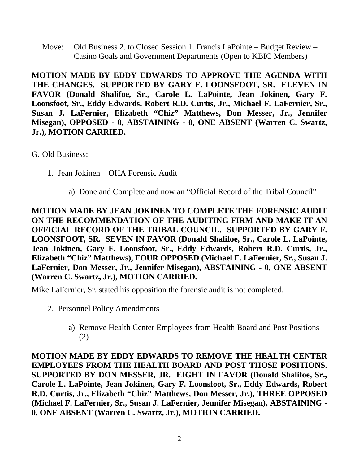Move: Old Business 2. to Closed Session 1. Francis LaPointe – Budget Review – Casino Goals and Government Departments (Open to KBIC Members)

**MOTION MADE BY EDDY EDWARDS TO APPROVE THE AGENDA WITH THE CHANGES. SUPPORTED BY GARY F. LOONSFOOT, SR. ELEVEN IN FAVOR (Donald Shalifoe, Sr., Carole L. LaPointe, Jean Jokinen, Gary F. Loonsfoot, Sr., Eddy Edwards, Robert R.D. Curtis, Jr., Michael F. LaFernier, Sr., Susan J. LaFernier, Elizabeth "Chiz" Matthews, Don Messer, Jr., Jennifer Misegan), OPPOSED - 0, ABSTAINING - 0, ONE ABSENT (Warren C. Swartz, Jr.), MOTION CARRIED.**

G. Old Business:

- 1. Jean Jokinen OHA Forensic Audit
	- a) Done and Complete and now an "Official Record of the Tribal Council"

**MOTION MADE BY JEAN JOKINEN TO COMPLETE THE FORENSIC AUDIT ON THE RECOMMENDATION OF THE AUDITING FIRM AND MAKE IT AN OFFICIAL RECORD OF THE TRIBAL COUNCIL. SUPPORTED BY GARY F. LOONSFOOT, SR. SEVEN IN FAVOR (Donald Shalifoe, Sr., Carole L. LaPointe, Jean Jokinen, Gary F. Loonsfoot, Sr., Eddy Edwards, Robert R.D. Curtis, Jr., Elizabeth "Chiz" Matthews), FOUR OPPOSED (Michael F. LaFernier, Sr., Susan J. LaFernier, Don Messer, Jr., Jennifer Misegan), ABSTAINING - 0, ONE ABSENT (Warren C. Swartz, Jr.), MOTION CARRIED.**

Mike LaFernier, Sr. stated his opposition the forensic audit is not completed.

- 2. Personnel Policy Amendments
	- a) Remove Health Center Employees from Health Board and Post Positions (2)

**MOTION MADE BY EDDY EDWARDS TO REMOVE THE HEALTH CENTER EMPLOYEES FROM THE HEALTH BOARD AND POST THOSE POSITIONS. SUPPORTED BY DON MESSER, JR. EIGHT IN FAVOR (Donald Shalifoe, Sr., Carole L. LaPointe, Jean Jokinen, Gary F. Loonsfoot, Sr., Eddy Edwards, Robert R.D. Curtis, Jr., Elizabeth "Chiz" Matthews, Don Messer, Jr.), THREE OPPOSED (Michael F. LaFernier, Sr., Susan J. LaFernier, Jennifer Misegan), ABSTAINING - 0, ONE ABSENT (Warren C. Swartz, Jr.), MOTION CARRIED.**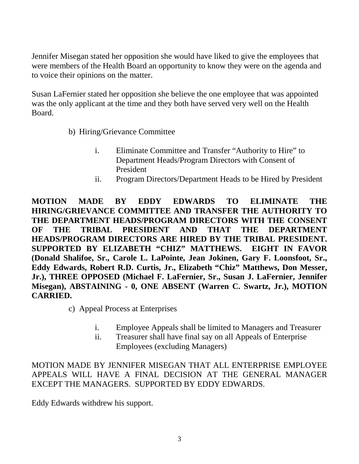Jennifer Misegan stated her opposition she would have liked to give the employees that were members of the Health Board an opportunity to know they were on the agenda and to voice their opinions on the matter.

Susan LaFernier stated her opposition she believe the one employee that was appointed was the only applicant at the time and they both have served very well on the Health Board.

- b) Hiring/Grievance Committee
	- i. Eliminate Committee and Transfer "Authority to Hire" to Department Heads/Program Directors with Consent of President
	- ii. Program Directors/Department Heads to be Hired by President

**MOTION MADE BY EDDY EDWARDS TO ELIMINATE THE HIRING/GRIEVANCE COMMITTEE AND TRANSFER THE AUTHORITY TO THE DEPARTMENT HEADS/PROGRAM DIRECTORS WITH THE CONSENT OF THE TRIBAL PRESIDENT AND THAT THE DEPARTMENT HEADS/PROGRAM DIRECTORS ARE HIRED BY THE TRIBAL PRESIDENT. SUPPORTED BY ELIZABETH "CHIZ" MATTHEWS. EIGHT IN FAVOR (Donald Shalifoe, Sr., Carole L. LaPointe, Jean Jokinen, Gary F. Loonsfoot, Sr., Eddy Edwards, Robert R.D. Curtis, Jr., Elizabeth "Chiz" Matthews, Don Messer, Jr.), THREE OPPOSED (Michael F. LaFernier, Sr., Susan J. LaFernier, Jennifer Misegan), ABSTAINING - 0, ONE ABSENT (Warren C. Swartz, Jr.), MOTION CARRIED.**

c) Appeal Process at Enterprises

- i. Employee Appeals shall be limited to Managers and Treasurer
- ii. Treasurer shall have final say on all Appeals of Enterprise Employees (excluding Managers)

MOTION MADE BY JENNIFER MISEGAN THAT ALL ENTERPRISE EMPLOYEE APPEALS WILL HAVE A FINAL DECISION AT THE GENERAL MANAGER EXCEPT THE MANAGERS. SUPPORTED BY EDDY EDWARDS.

Eddy Edwards withdrew his support.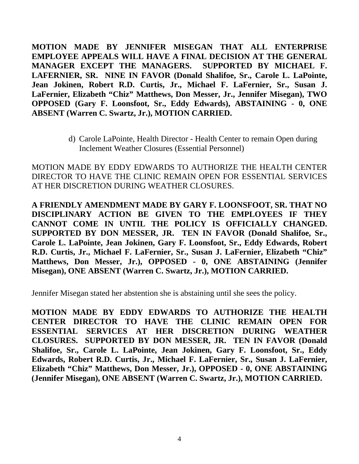**MOTION MADE BY JENNIFER MISEGAN THAT ALL ENTERPRISE EMPLOYEE APPEALS WILL HAVE A FINAL DECISION AT THE GENERAL MANAGER EXCEPT THE MANAGERS. SUPPORTED BY MICHAEL F. LAFERNIER, SR. NINE IN FAVOR (Donald Shalifoe, Sr., Carole L. LaPointe, Jean Jokinen, Robert R.D. Curtis, Jr., Michael F. LaFernier, Sr., Susan J. LaFernier, Elizabeth "Chiz" Matthews, Don Messer, Jr., Jennifer Misegan), TWO OPPOSED (Gary F. Loonsfoot, Sr., Eddy Edwards), ABSTAINING - 0, ONE ABSENT (Warren C. Swartz, Jr.), MOTION CARRIED.**

> d) Carole LaPointe, Health Director - Health Center to remain Open during Inclement Weather Closures (Essential Personnel)

MOTION MADE BY EDDY EDWARDS TO AUTHORIZE THE HEALTH CENTER DIRECTOR TO HAVE THE CLINIC REMAIN OPEN FOR ESSENTIAL SERVICES AT HER DISCRETION DURING WEATHER CLOSURES.

**A FRIENDLY AMENDMENT MADE BY GARY F. LOONSFOOT, SR. THAT NO DISCIPLINARY ACTION BE GIVEN TO THE EMPLOYEES IF THEY CANNOT COME IN UNTIL THE POLICY IS OFFICIALLY CHANGED. SUPPORTED BY DON MESSER, JR. TEN IN FAVOR (Donald Shalifoe, Sr., Carole L. LaPointe, Jean Jokinen, Gary F. Loonsfoot, Sr., Eddy Edwards, Robert R.D. Curtis, Jr., Michael F. LaFernier, Sr., Susan J. LaFernier, Elizabeth "Chiz" Matthews, Don Messer, Jr.), OPPOSED - 0, ONE ABSTAINING (Jennifer Misegan), ONE ABSENT (Warren C. Swartz, Jr.), MOTION CARRIED.**

Jennifer Misegan stated her abstention she is abstaining until she sees the policy.

**MOTION MADE BY EDDY EDWARDS TO AUTHORIZE THE HEALTH CENTER DIRECTOR TO HAVE THE CLINIC REMAIN OPEN FOR ESSENTIAL SERVICES AT HER DISCRETION DURING WEATHER CLOSURES. SUPPORTED BY DON MESSER, JR. TEN IN FAVOR (Donald Shalifoe, Sr., Carole L. LaPointe, Jean Jokinen, Gary F. Loonsfoot, Sr., Eddy Edwards, Robert R.D. Curtis, Jr., Michael F. LaFernier, Sr., Susan J. LaFernier, Elizabeth "Chiz" Matthews, Don Messer, Jr.), OPPOSED - 0, ONE ABSTAINING (Jennifer Misegan), ONE ABSENT (Warren C. Swartz, Jr.), MOTION CARRIED.**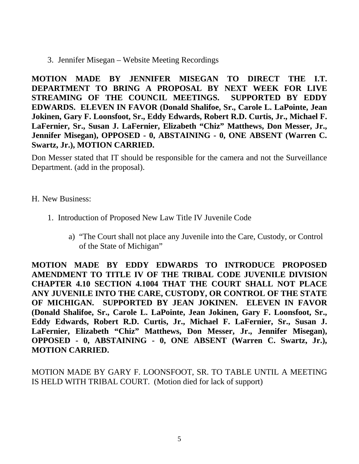3. Jennifer Misegan – Website Meeting Recordings

**MOTION MADE BY JENNIFER MISEGAN TO DIRECT THE I.T. DEPARTMENT TO BRING A PROPOSAL BY NEXT WEEK FOR LIVE STREAMING OF THE COUNCIL MEETINGS. SUPPORTED BY EDDY EDWARDS. ELEVEN IN FAVOR (Donald Shalifoe, Sr., Carole L. LaPointe, Jean Jokinen, Gary F. Loonsfoot, Sr., Eddy Edwards, Robert R.D. Curtis, Jr., Michael F. LaFernier, Sr., Susan J. LaFernier, Elizabeth "Chiz" Matthews, Don Messer, Jr., Jennifer Misegan), OPPOSED - 0, ABSTAINING - 0, ONE ABSENT (Warren C. Swartz, Jr.), MOTION CARRIED.**

Don Messer stated that IT should be responsible for the camera and not the Surveillance Department. (add in the proposal).

## H. New Business:

- 1. Introduction of Proposed New Law Title IV Juvenile Code
	- a) "The Court shall not place any Juvenile into the Care, Custody, or Control of the State of Michigan"

**MOTION MADE BY EDDY EDWARDS TO INTRODUCE PROPOSED AMENDMENT TO TITLE IV OF THE TRIBAL CODE JUVENILE DIVISION CHAPTER 4.10 SECTION 4.1004 THAT THE COURT SHALL NOT PLACE ANY JUVENILE INTO THE CARE, CUSTODY, OR CONTROL OF THE STATE OF MICHIGAN. SUPPORTED BY JEAN JOKINEN. ELEVEN IN FAVOR (Donald Shalifoe, Sr., Carole L. LaPointe, Jean Jokinen, Gary F. Loonsfoot, Sr., Eddy Edwards, Robert R.D. Curtis, Jr., Michael F. LaFernier, Sr., Susan J. LaFernier, Elizabeth "Chiz" Matthews, Don Messer, Jr., Jennifer Misegan), OPPOSED - 0, ABSTAINING - 0, ONE ABSENT (Warren C. Swartz, Jr.), MOTION CARRIED.**

MOTION MADE BY GARY F. LOONSFOOT, SR. TO TABLE UNTIL A MEETING IS HELD WITH TRIBAL COURT. (Motion died for lack of support)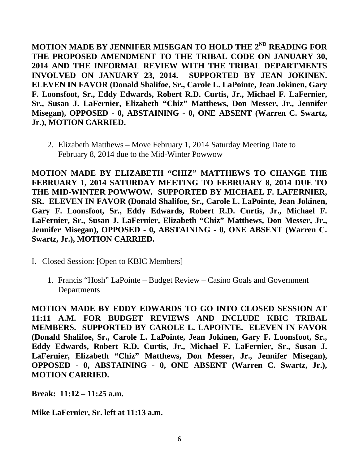**MOTION MADE BY JENNIFER MISEGAN TO HOLD THE 2ND READING FOR THE PROPOSED AMENDMENT TO THE TRIBAL CODE ON JANUARY 30, 2014 AND THE INFORMAL REVIEW WITH THE TRIBAL DEPARTMENTS INVOLVED ON JANUARY 23, 2014. SUPPORTED BY JEAN JOKINEN. ELEVEN IN FAVOR (Donald Shalifoe, Sr., Carole L. LaPointe, Jean Jokinen, Gary F. Loonsfoot, Sr., Eddy Edwards, Robert R.D. Curtis, Jr., Michael F. LaFernier, Sr., Susan J. LaFernier, Elizabeth "Chiz" Matthews, Don Messer, Jr., Jennifer Misegan), OPPOSED - 0, ABSTAINING - 0, ONE ABSENT (Warren C. Swartz, Jr.), MOTION CARRIED.**

2. Elizabeth Matthews – Move February 1, 2014 Saturday Meeting Date to February 8, 2014 due to the Mid-Winter Powwow

**MOTION MADE BY ELIZABETH "CHIZ" MATTHEWS TO CHANGE THE FEBRUARY 1, 2014 SATURDAY MEETING TO FEBRUARY 8, 2014 DUE TO THE MID-WINTER POWWOW. SUPPORTED BY MICHAEL F. LAFERNIER, SR. ELEVEN IN FAVOR (Donald Shalifoe, Sr., Carole L. LaPointe, Jean Jokinen, Gary F. Loonsfoot, Sr., Eddy Edwards, Robert R.D. Curtis, Jr., Michael F. LaFernier, Sr., Susan J. LaFernier, Elizabeth "Chiz" Matthews, Don Messer, Jr., Jennifer Misegan), OPPOSED - 0, ABSTAINING - 0, ONE ABSENT (Warren C. Swartz, Jr.), MOTION CARRIED.**

- I. Closed Session: [Open to KBIC Members]
	- 1. Francis "Hosh" LaPointe Budget Review Casino Goals and Government **Departments**

**MOTION MADE BY EDDY EDWARDS TO GO INTO CLOSED SESSION AT 11:11 A.M. FOR BUDGET REVIEWS AND INCLUDE KBIC TRIBAL MEMBERS. SUPPORTED BY CAROLE L. LAPOINTE. ELEVEN IN FAVOR (Donald Shalifoe, Sr., Carole L. LaPointe, Jean Jokinen, Gary F. Loonsfoot, Sr., Eddy Edwards, Robert R.D. Curtis, Jr., Michael F. LaFernier, Sr., Susan J. LaFernier, Elizabeth "Chiz" Matthews, Don Messer, Jr., Jennifer Misegan), OPPOSED - 0, ABSTAINING - 0, ONE ABSENT (Warren C. Swartz, Jr.), MOTION CARRIED.**

**Break: 11:12 – 11:25 a.m.** 

**Mike LaFernier, Sr. left at 11:13 a.m.**